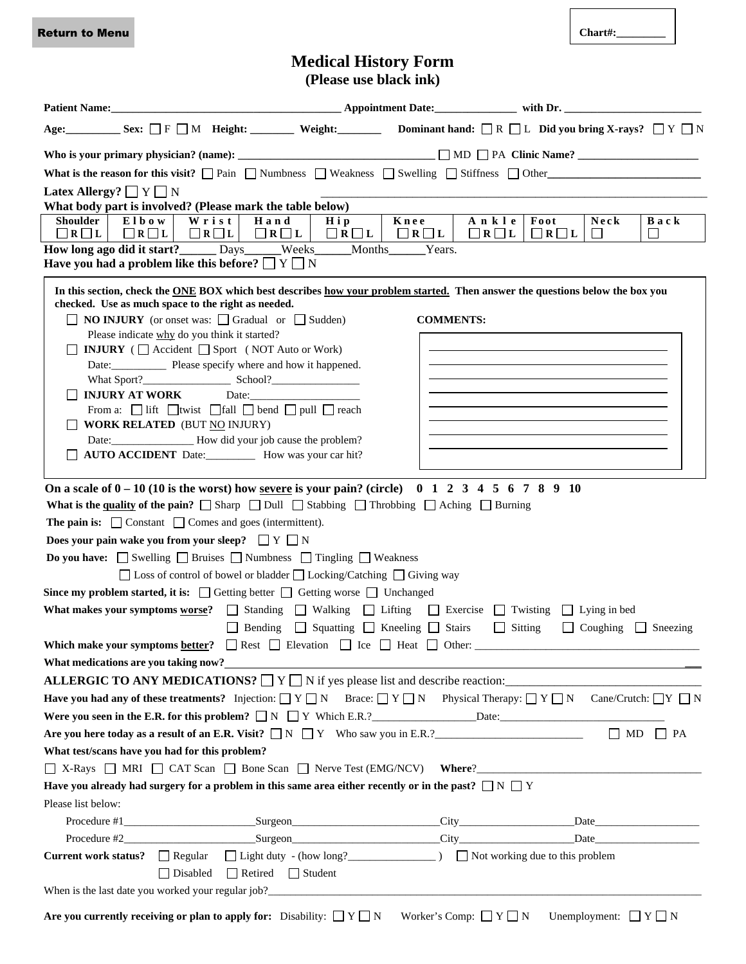Return to Menu

**Chart#:\_\_\_\_\_\_\_\_\_**

# **Medical History Form**

|                                                                                                                                                                                                                                                                   |                                                                                   | (Please use black ink) |                  |  |  |  |  |
|-------------------------------------------------------------------------------------------------------------------------------------------------------------------------------------------------------------------------------------------------------------------|-----------------------------------------------------------------------------------|------------------------|------------------|--|--|--|--|
|                                                                                                                                                                                                                                                                   |                                                                                   |                        |                  |  |  |  |  |
| Age: Sex: $\Box$ F $\Box$ M Height: Weight: Dominant hand: $\Box$ R $\Box$ L Did you bring X-rays? $\Box$ Y $\Box$ N                                                                                                                                              |                                                                                   |                        |                  |  |  |  |  |
|                                                                                                                                                                                                                                                                   |                                                                                   |                        |                  |  |  |  |  |
| What is the reason for this visit? $\Box$ Pain $\Box$ Numbness $\Box$ Weakness $\Box$ Swelling $\Box$ Stiffness $\Box$ Other                                                                                                                                      |                                                                                   |                        |                  |  |  |  |  |
| Latex Allergy? $\Box$ Y $\Box$ N                                                                                                                                                                                                                                  |                                                                                   |                        |                  |  |  |  |  |
| What body part is involved? (Please mark the table below)<br>Back                                                                                                                                                                                                 |                                                                                   |                        |                  |  |  |  |  |
| <b>Shoulder</b><br>Elbow  <br>Hand<br>Knee<br>Wrist<br>Hip<br>Ankle<br>Foot<br>Neck<br>$\Box$ R $\Box$ L<br>$\Box R \Box L$<br>$\Box R \Box L$<br>$\Box R \Box L$<br>$\Box R \Box L$<br>$\Box R \Box L$<br>$\Box R \Box L$<br>$\Box R \Box L$<br>$\Box$<br>$\Box$ |                                                                                   |                        |                  |  |  |  |  |
| How long ago did it start?______ Days_____Weeks_____Months_____Years.<br>Have you had a problem like this before? $\Box Y \Box N$                                                                                                                                 |                                                                                   |                        |                  |  |  |  |  |
| In this section, check the ONE BOX which best describes how your problem started. Then answer the questions below the box you                                                                                                                                     |                                                                                   |                        |                  |  |  |  |  |
| checked. Use as much space to the right as needed.<br>$\Box$ <b>NO INJURY</b> (or onset was: $\Box$ Gradual or $\Box$ Sudden)                                                                                                                                     |                                                                                   |                        | <b>COMMENTS:</b> |  |  |  |  |
| Please indicate why do you think it started?                                                                                                                                                                                                                      |                                                                                   |                        |                  |  |  |  |  |
| <b>INJURY</b> ( $\Box$ Accident $\Box$ Sport (NOT Auto or Work)                                                                                                                                                                                                   |                                                                                   |                        |                  |  |  |  |  |
|                                                                                                                                                                                                                                                                   | Date: Please specify where and how it happened.                                   |                        |                  |  |  |  |  |
| INJURY AT WORK Date:                                                                                                                                                                                                                                              |                                                                                   |                        |                  |  |  |  |  |
|                                                                                                                                                                                                                                                                   | From a: $\Box$ lift $\Box$ twist $\Box$ fall $\Box$ bend $\Box$ pull $\Box$ reach |                        |                  |  |  |  |  |
| <b>WORK RELATED (BUT NO INJURY)</b>                                                                                                                                                                                                                               |                                                                                   |                        |                  |  |  |  |  |
|                                                                                                                                                                                                                                                                   | Date: ______________________ How did your job cause the problem?                  |                        |                  |  |  |  |  |
| AUTO ACCIDENT Date:___________ How was your car hit?                                                                                                                                                                                                              |                                                                                   |                        |                  |  |  |  |  |
| On a scale of $0 - 10$ (10 is the worst) how <u>severe</u> is your pain? (circle) 0 1 2 3 4 5 6 7 8 9 10                                                                                                                                                          |                                                                                   |                        |                  |  |  |  |  |
|                                                                                                                                                                                                                                                                   |                                                                                   |                        |                  |  |  |  |  |
| What is the quality of the pain? $\Box$ Sharp $\Box$ Dull $\Box$ Stabbing $\Box$ Throbbing $\Box$ Aching $\Box$ Burning<br><b>The pain is:</b> $\Box$ Constant $\Box$ Comes and goes (intermittent).                                                              |                                                                                   |                        |                  |  |  |  |  |
| Does your pain wake you from your sleep? $\Box Y \Box N$                                                                                                                                                                                                          |                                                                                   |                        |                  |  |  |  |  |
| <b>Do you have:</b> $\Box$ Swelling $\Box$ Bruises $\Box$ Numbness $\Box$ Tingling $\Box$ Weakness                                                                                                                                                                |                                                                                   |                        |                  |  |  |  |  |
| $\Box$ Loss of control of bowel or bladder $\Box$ Locking/Catching $\Box$ Giving way                                                                                                                                                                              |                                                                                   |                        |                  |  |  |  |  |
| Since my problem started, it is: $\Box$ Getting better $\Box$ Getting worse $\Box$ Unchanged                                                                                                                                                                      |                                                                                   |                        |                  |  |  |  |  |
| What makes your symptoms worse? $\Box$ Standing $\Box$ Walking $\Box$ Lifting $\Box$ Exercise $\Box$ Twisting $\Box$ Lying in bed                                                                                                                                 |                                                                                   |                        |                  |  |  |  |  |
| □ Bending □ Squatting □ Kneeling □ Stairs □ Sitting □ Coughing □ Sneezing                                                                                                                                                                                         |                                                                                   |                        |                  |  |  |  |  |
| Which make your symptoms <u>better</u> ? Rest Blevation $\Box$ Ice $\Box$ Heat $\Box$ Other:                                                                                                                                                                      |                                                                                   |                        |                  |  |  |  |  |
| What medications are you taking now?<br><u> and</u> the contract of the contract of the contract of the contract of the contract of the contract of the contract of the contract of the contract of the contract of the contract of t                             |                                                                                   |                        |                  |  |  |  |  |
| ALLERGIC TO ANY MEDICATIONS? $\Box$ Y $\Box$ N if yes please list and describe reaction:                                                                                                                                                                          |                                                                                   |                        |                  |  |  |  |  |
| <b>Have you had any of these treatments?</b> Injection: $Y \cap Y \cap Y = Y \cap Y \cap Y$ Physical Therapy: $Y \cap Y \cap Y \cap Y = Y \cap Y \cap Y$                                                                                                          |                                                                                   |                        |                  |  |  |  |  |
|                                                                                                                                                                                                                                                                   |                                                                                   |                        |                  |  |  |  |  |
| Are you here today as a result of an E.R. Visit? $\Box N \Box Y$ Who saw you in E.R.?                                                                                                                                                                             |                                                                                   |                        |                  |  |  |  |  |
| What test/scans have you had for this problem?                                                                                                                                                                                                                    |                                                                                   |                        |                  |  |  |  |  |
| △ X-Rays △ MRI △ CAT Scan △ Bone Scan △ Nerve Test (EMG/NCV) Where?                                                                                                                                                                                               |                                                                                   |                        |                  |  |  |  |  |
| Have you already had surgery for a problem in this same area either recently or in the past? $\Box N \Box Y$<br>Please list below:                                                                                                                                |                                                                                   |                        |                  |  |  |  |  |
|                                                                                                                                                                                                                                                                   |                                                                                   |                        |                  |  |  |  |  |
|                                                                                                                                                                                                                                                                   |                                                                                   |                        |                  |  |  |  |  |
| Current work status? □ Regular □ Light duty - (how long? □ Not working due to this problem                                                                                                                                                                        |                                                                                   |                        |                  |  |  |  |  |
|                                                                                                                                                                                                                                                                   | □ Disabled □ Retired □ Student                                                    |                        |                  |  |  |  |  |
|                                                                                                                                                                                                                                                                   |                                                                                   |                        |                  |  |  |  |  |

**Are you currently receiving or plan to apply for:** Disability:  $\Box Y \Box N$  Worker's Comp:  $\Box Y \Box N$  Unemployment:  $\Box Y \Box N$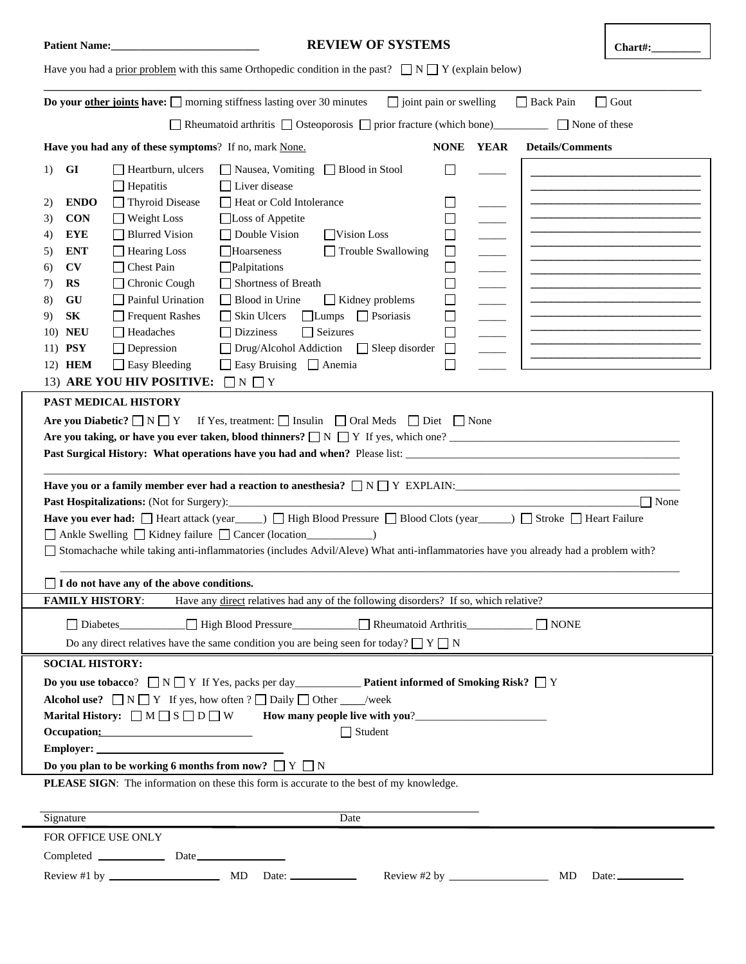| <b>REVIEW OF SYSTEMS</b><br><b>Patient Name:</b><br>Chart#:                                                                                     |                                                                                                                                  |                                                                      |                               |  |                  |                            |                                                                   |                                                                                                                       |
|-------------------------------------------------------------------------------------------------------------------------------------------------|----------------------------------------------------------------------------------------------------------------------------------|----------------------------------------------------------------------|-------------------------------|--|------------------|----------------------------|-------------------------------------------------------------------|-----------------------------------------------------------------------------------------------------------------------|
| Have you had a prior problem with this same Orthopedic condition in the past? $\Box N \Box Y$ (explain below)                                   |                                                                                                                                  |                                                                      |                               |  |                  |                            |                                                                   |                                                                                                                       |
| Do your other joints have: $\Box$ morning stiffness lasting over 30 minutes<br>$\Box$ joint pain or swelling<br>$\Box$ Back Pain<br>$\Box$ Gout |                                                                                                                                  |                                                                      |                               |  |                  |                            |                                                                   |                                                                                                                       |
|                                                                                                                                                 | $\Box$ Rheumatoid arthritis $\Box$ Osteoporosis $\Box$ prior fracture (which bone)<br>None of these                              |                                                                      |                               |  |                  |                            |                                                                   |                                                                                                                       |
| <b>YEAR</b><br>Have you had any of these symptoms? If no, mark None.<br><b>NONE</b><br><b>Details/Comments</b>                                  |                                                                                                                                  |                                                                      |                               |  |                  |                            |                                                                   |                                                                                                                       |
| <b>GI</b><br>1)                                                                                                                                 | $\Box$ Heartburn, ulcers                                                                                                         | □ Nausea, Vomiting □ Blood in Stool                                  |                               |  | ΙI               |                            |                                                                   |                                                                                                                       |
|                                                                                                                                                 | $\Box$ Hepatitis                                                                                                                 | $\Box$ Liver disease                                                 |                               |  |                  |                            |                                                                   |                                                                                                                       |
| <b>ENDO</b><br>2)                                                                                                                               | Thyroid Disease                                                                                                                  | Heat or Cold Intolerance                                             |                               |  |                  |                            |                                                                   | <u> 1980 - Johann Barbara, martxa alemaniar amerikan basar da da a shekara a shekara a shekara a shekara a shekar</u> |
| <b>CON</b><br>3)                                                                                                                                | $\Box$ Weight Loss                                                                                                               | □Loss of Appetite                                                    |                               |  | $\Box$           |                            |                                                                   |                                                                                                                       |
| <b>EYE</b><br>4)                                                                                                                                | Blurred Vision                                                                                                                   | $\Box$ Double Vision                                                 | Vision Loss                   |  | $\Box$           |                            |                                                                   |                                                                                                                       |
| <b>ENT</b><br>5)<br>CV                                                                                                                          | <b>Hearing Loss</b><br><b>Chest Pain</b>                                                                                         | Hoarseness<br>$\Box$ Palpitations                                    | Trouble Swallowing            |  | $\Box$<br>$\Box$ | $\equiv$                   |                                                                   |                                                                                                                       |
| 6)<br><b>RS</b><br>7)                                                                                                                           | Chronic Cough                                                                                                                    | Shortness of Breath                                                  |                               |  | $\Box$           | $\overline{\phantom{a}}$   |                                                                   |                                                                                                                       |
| 8)<br>GU                                                                                                                                        | $\Box$ Painful Urination                                                                                                         | Blood in Urine                                                       | $\Box$ Kidney problems        |  | $\Box$           | $\overline{\phantom{a}}$   |                                                                   |                                                                                                                       |
| 9)<br>SК                                                                                                                                        | $\Box$ Frequent Rashes                                                                                                           | $\Box$ Skin Ulcers                                                   | $\Box$ Lumps $\Box$ Psoriasis |  | $\Box$           | $\overline{\phantom{a}}$   |                                                                   |                                                                                                                       |
| <b>NEU</b><br>10)                                                                                                                               | $\Box$ Headaches                                                                                                                 | $\Box$ Dizziness                                                     | $\Box$ Seizures               |  | $\Box$           |                            |                                                                   |                                                                                                                       |
| 11) <b>PSY</b>                                                                                                                                  | $\Box$ Depression                                                                                                                | $\Box$ Drug/Alcohol Addiction $\Box$ Sleep disorder                  |                               |  | $\Box$           |                            |                                                                   | <u> 1980 - Johann Barn, mars an t-Amerikaansk politiker (</u>                                                         |
| 12) HEM                                                                                                                                         | Easy Bleeding                                                                                                                    | Easy Bruising Anemia                                                 |                               |  | $\Box$           |                            |                                                                   |                                                                                                                       |
|                                                                                                                                                 | 13) ARE YOU HIV POSITIVE:                                                                                                        | $\Box N \Box Y$                                                      |                               |  |                  |                            |                                                                   |                                                                                                                       |
|                                                                                                                                                 | PAST MEDICAL HISTORY                                                                                                             |                                                                      |                               |  |                  |                            |                                                                   |                                                                                                                       |
|                                                                                                                                                 | <b>Are you Diabetic?</b> $\Box N \Box Y$ If Yes, treatment: $\Box$ Insulin $\Box$ Oral Meds $\Box$ Diet $\Box$ None              |                                                                      |                               |  |                  |                            |                                                                   |                                                                                                                       |
|                                                                                                                                                 | Are you taking, or have you ever taken, blood thinners? $\Box$ N $\Box$ Y If yes, which one?                                     |                                                                      |                               |  |                  |                            |                                                                   |                                                                                                                       |
|                                                                                                                                                 |                                                                                                                                  |                                                                      |                               |  |                  |                            |                                                                   |                                                                                                                       |
|                                                                                                                                                 |                                                                                                                                  |                                                                      |                               |  |                  |                            | <u> 1980 - Johann John Stein, mars an deus Frankrik (f. 1980)</u> |                                                                                                                       |
|                                                                                                                                                 | Have you or a family member ever had a reaction to anesthesia? $\Box N \Box Y$ EXPLAIN:                                          |                                                                      |                               |  |                  |                            |                                                                   |                                                                                                                       |
|                                                                                                                                                 |                                                                                                                                  |                                                                      |                               |  |                  |                            |                                                                   | $\Box$ None                                                                                                           |
|                                                                                                                                                 | Have you ever had: □ Heart attack (year (year ) □ High Blood Pressure □ Blood Clots (year (year (year ) □ Stroke □ Heart Failure |                                                                      |                               |  |                  |                            |                                                                   |                                                                                                                       |
|                                                                                                                                                 | Ankle Swelling   Kidney failure   Cancer (location____________)                                                                  |                                                                      |                               |  |                  |                            |                                                                   |                                                                                                                       |
| Stomachache while taking anti-inflammatories (includes Advil/Aleve) What anti-inflammatories have you already had a problem with?               |                                                                                                                                  |                                                                      |                               |  |                  |                            |                                                                   |                                                                                                                       |
| □ I do not have any of the above conditions.                                                                                                    |                                                                                                                                  |                                                                      |                               |  |                  |                            |                                                                   |                                                                                                                       |
| Have any direct relatives had any of the following disorders? If so, which relative?<br><b>FAMILY HISTORY:</b>                                  |                                                                                                                                  |                                                                      |                               |  |                  |                            |                                                                   |                                                                                                                       |
| Diabetes Resume High Blood Pressure Resume Resumedia Arthritis<br>$\Box$ NONE                                                                   |                                                                                                                                  |                                                                      |                               |  |                  |                            |                                                                   |                                                                                                                       |
| Do any direct relatives have the same condition you are being seen for today? $\Box Y \Box N$                                                   |                                                                                                                                  |                                                                      |                               |  |                  |                            |                                                                   |                                                                                                                       |
| <b>SOCIAL HISTORY:</b>                                                                                                                          |                                                                                                                                  |                                                                      |                               |  |                  |                            |                                                                   |                                                                                                                       |
| <b>Do you use tobacco?</b> $\Box N \Box Y$ If Yes, packs per day <b>Patient informed of Smoking Risk?</b> $\Box Y$                              |                                                                                                                                  |                                                                      |                               |  |                  |                            |                                                                   |                                                                                                                       |
| <b>Alcohol use?</b> $\Box N \Box Y$ If yes, how often ? $\Box$ Daily $\Box$ Other ____/week                                                     |                                                                                                                                  |                                                                      |                               |  |                  |                            |                                                                   |                                                                                                                       |
| Marital History: $\Box$ M $\Box$ S $\Box$ D $\Box$ W How many people live with you?                                                             |                                                                                                                                  |                                                                      |                               |  |                  |                            |                                                                   |                                                                                                                       |
| $\Box$ Student                                                                                                                                  |                                                                                                                                  |                                                                      |                               |  |                  |                            |                                                                   |                                                                                                                       |
|                                                                                                                                                 |                                                                                                                                  |                                                                      |                               |  |                  |                            |                                                                   |                                                                                                                       |
| Do you plan to be working 6 months from now? $\Box Y \Box N$                                                                                    |                                                                                                                                  |                                                                      |                               |  |                  |                            |                                                                   |                                                                                                                       |
| PLEASE SIGN: The information on these this form is accurate to the best of my knowledge.                                                        |                                                                                                                                  |                                                                      |                               |  |                  |                            |                                                                   |                                                                                                                       |
| Signature<br>Date                                                                                                                               |                                                                                                                                  |                                                                      |                               |  |                  |                            |                                                                   |                                                                                                                       |
| FOR OFFICE USE ONLY                                                                                                                             |                                                                                                                                  |                                                                      |                               |  |                  |                            |                                                                   |                                                                                                                       |
|                                                                                                                                                 |                                                                                                                                  |                                                                      |                               |  |                  |                            |                                                                   |                                                                                                                       |
|                                                                                                                                                 | Review #1 by $\frac{1}{2}$                                                                                                       | $\rm MD$<br>Date: $\frac{1}{\sqrt{1-\frac{1}{2}} \cdot \frac{1}{2}}$ |                               |  |                  | Review #2 by $\frac{1}{2}$ | MD                                                                | Date: $\_\_\_\_\_\_\_\_\_\_\_\_\_\_\_\_\_\_\_\_\_$                                                                    |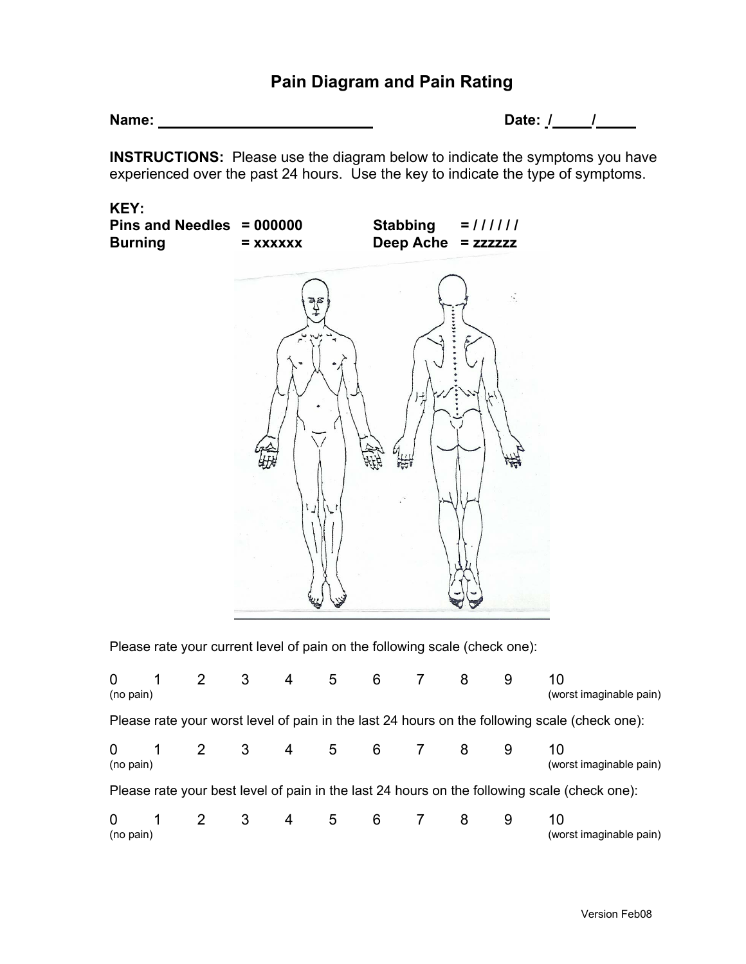## **Pain Diagram and Pain Rating**

**Name: Date: / /** 

**INSTRUCTIONS:** Please use the diagram below to indicate the symptoms you have experienced over the past 24 hours. Use the key to indicate the type of symptoms.

**KEY:** 

| Pins and Needles $= 000000$<br><b>Burning</b> | $=$ XXXXXX | <b>Stabbing</b><br>Deep Ache = zzzzzz | $= 111111$ |
|-----------------------------------------------|------------|---------------------------------------|------------|
|                                               | శ్రీ       |                                       |            |
|                                               | $\sim$     |                                       |            |
|                                               |            | $\frac{1}{2}$                         |            |
|                                               |            |                                       |            |

Please rate your current level of pain on the following scale (check one):

| $\Omega$<br>(no pain)                                                                         |  | $2 \quad 3$    |     | 4 | 5   | $6 \qquad \qquad$ |  |   | 9 | 10<br>(worst imaginable pain) |
|-----------------------------------------------------------------------------------------------|--|----------------|-----|---|-----|-------------------|--|---|---|-------------------------------|
| Please rate your worst level of pain in the last 24 hours on the following scale (check one): |  |                |     |   |     |                   |  |   |   |                               |
| $\overline{0}$<br>(no pain)                                                                   |  | $2 \quad 3$    |     |   |     | 4 5 6 7           |  | 8 |   | 10<br>(worst imaginable pain) |
| Please rate your best level of pain in the last 24 hours on the following scale (check one):  |  |                |     |   |     |                   |  |   |   |                               |
| 0<br>(no pain)                                                                                |  | $\overline{2}$ | - 3 | 4 | - 5 | 6                 |  | 8 | 9 | 10<br>(worst imaginable pain) |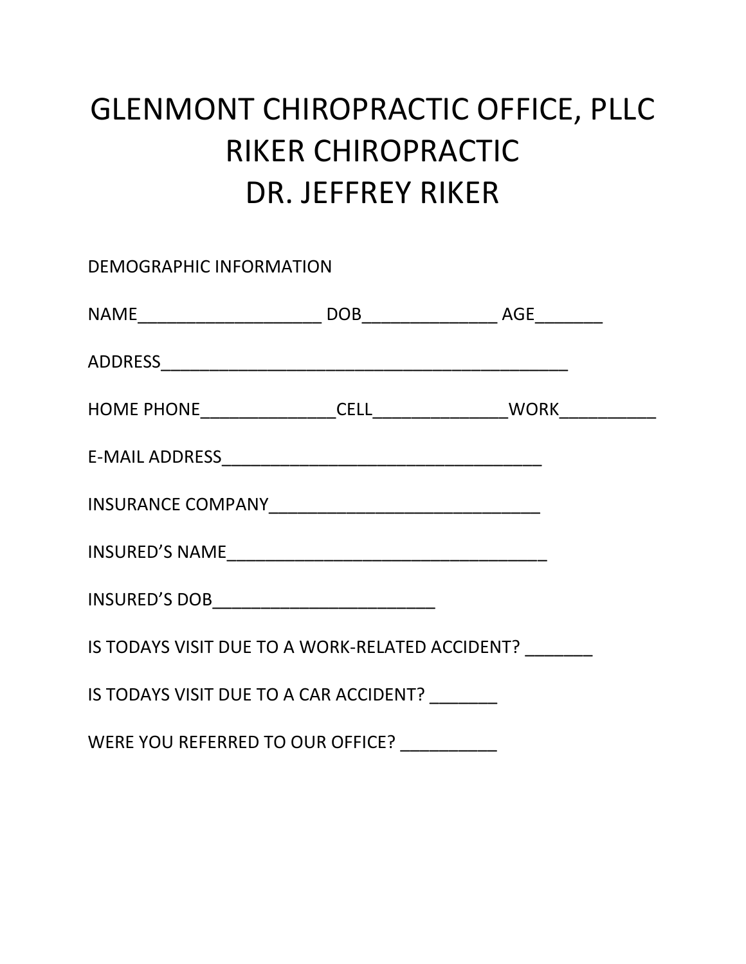# GLENMONT CHIROPRACTIC OFFICE, PLLC RIKER CHIROPRACTIC DR. JEFFREY RIKER

DEMOGRAPHIC INFORMATION NAME\_\_\_\_\_\_\_\_\_\_\_\_\_\_\_\_\_\_\_ DOB\_\_\_\_\_\_\_\_\_\_\_\_\_\_ AGE\_\_\_\_\_\_\_ ADDRESS\_\_\_\_\_\_\_\_\_\_\_\_\_\_\_\_\_\_\_\_\_\_\_\_\_\_\_\_\_\_\_\_\_\_\_\_\_\_\_\_\_\_ HOME PHONE\_\_\_\_\_\_\_\_\_\_\_\_\_\_CELL\_\_\_\_\_\_\_\_\_\_\_\_\_\_WORK\_\_\_\_\_\_\_\_\_\_ E-MAIL ADDRESS\_\_\_\_\_\_\_\_\_\_\_\_\_\_\_\_\_\_\_\_\_\_\_\_\_\_\_\_\_\_\_\_\_ INSURANCE COMPANY\_\_\_\_\_\_\_\_\_\_\_\_\_\_\_\_\_\_\_\_\_\_\_\_\_\_\_\_ INSURED'S NAME\_\_\_\_\_\_\_\_\_\_\_\_\_\_\_\_\_\_\_\_\_\_\_\_\_\_\_\_\_\_\_\_\_ INSURED'S DOB IS TODAYS VISIT DUE TO A WORK-RELATED ACCIDENT? IS TODAYS VISIT DUE TO A CAR ACCIDENT? WERE YOU REFERRED TO OUR OFFICE?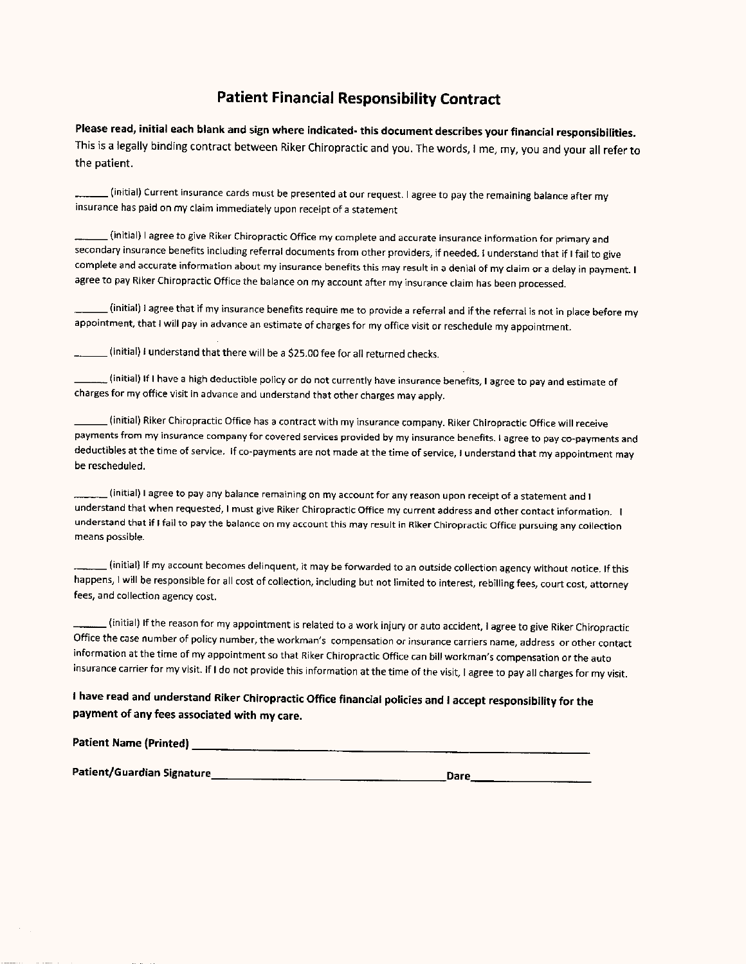## **Patient Financial Responsibility Contract**

Please read, initial each blank and sign where indicated- this document describes your financial responsibilities. This is a legally binding contract between Riker Chiropractic and you. The words, I me, my, you and your all refer to the patient.

(initial) Current insurance cards must be presented at our request. I agree to pay the remaining balance after my insurance has paid on my claim immediately upon receipt of a statement

(initial) I agree to give Riker Chiropractic Office my complete and accurate insurance information for primary and secondary insurance benefits including referral documents from other providers, if needed. I understand that if I fail to give complete and accurate information about my insurance benefits this may result in a denial of my claim or a delay in payment. I agree to pay Riker Chiropractic Office the balance on my account after my insurance claim has been processed.

(initial) I agree that if my insurance benefits require me to provide a referral and if the referral is not in place before my appointment, that I will pay in advance an estimate of charges for my office visit or reschedule my appointment.

(initial) I understand that there will be a \$25.00 fee for all returned checks.

linitial) If I have a high deductible policy or do not currently have insurance benefits, I agree to pay and estimate of  $\,$ charges for my office visit in advance and understand that other charges may apply.

(initial) Riker Chiropractic Office has a contract with my insurance company. Riker Chiropractic Office will receive payments from my insurance company for covered services provided by my insurance benefits. I agree to pay co-payments and deductibles at the time of service. If co-payments are not made at the time of service, I understand that my appointment may be rescheduled.

(initial) I agree to pay any balance remaining on my account for any reason upon receipt of a statement and I understand that when requested, I must give Riker Chiropractic Office my current address and other contact information. I understand that if I fail to pay the balance on my account this may result in Riker Chiropractic Office pursuing any collection means possible.

 $\_$  (initial) If my account becomes delinquent, it may be forwarded to an outside collection agency without notice. If this happens, I will be responsible for all cost of collection, including but not limited to interest, rebilling fees, court cost, attorney fees, and collection agency cost.

. (initial) If the reason for my appointment is related to a work injury or auto accident, I agree to give Riker Chiropractic Office the case number of policy number, the workman's compensation or insurance carriers name, address or other contact information at the time of my appointment so that Riker Chiropractic Office can bill workman's compensation or the auto insurance carrier for my visit. If I do not provide this information at the time of the visit, I agree to pay all charges for my visit.

## I have read and understand Riker Chiropractic Office financial policies and I accept responsibility for the payment of any fees associated with my care.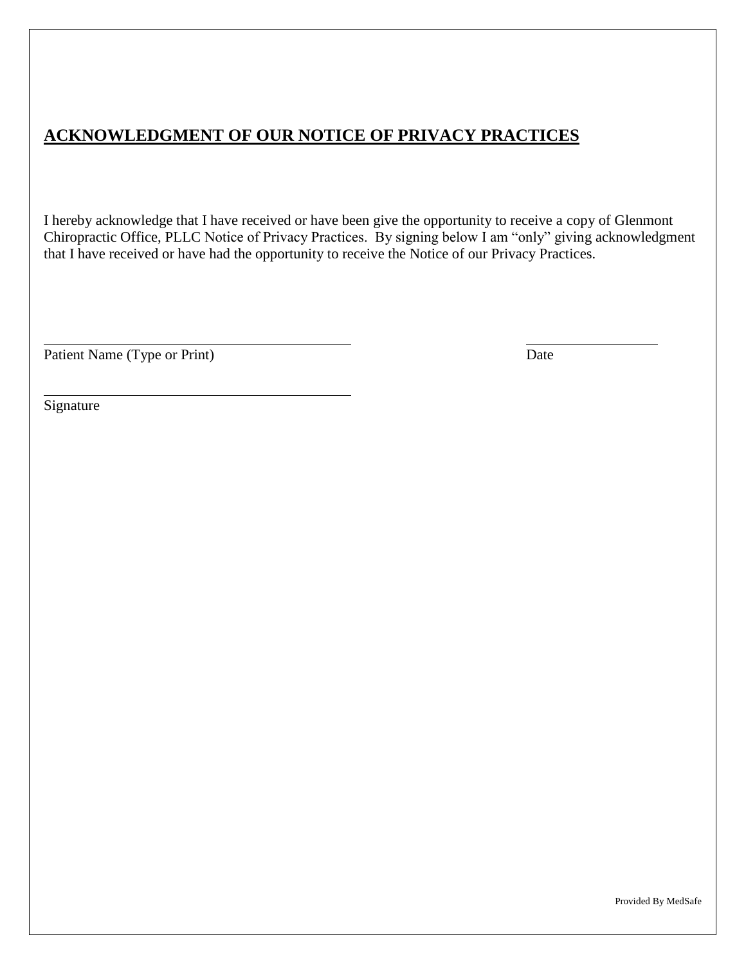# **ACKNOWLEDGMENT OF OUR NOTICE OF PRIVACY PRACTICES**

I hereby acknowledge that I have received or have been give the opportunity to receive a copy of Glenmont Chiropractic Office, PLLC Notice of Privacy Practices. By signing below I am "only" giving acknowledgment that I have received or have had the opportunity to receive the Notice of our Privacy Practices.

Patient Name (Type or Print) Date

Signature

Provided By MedSafe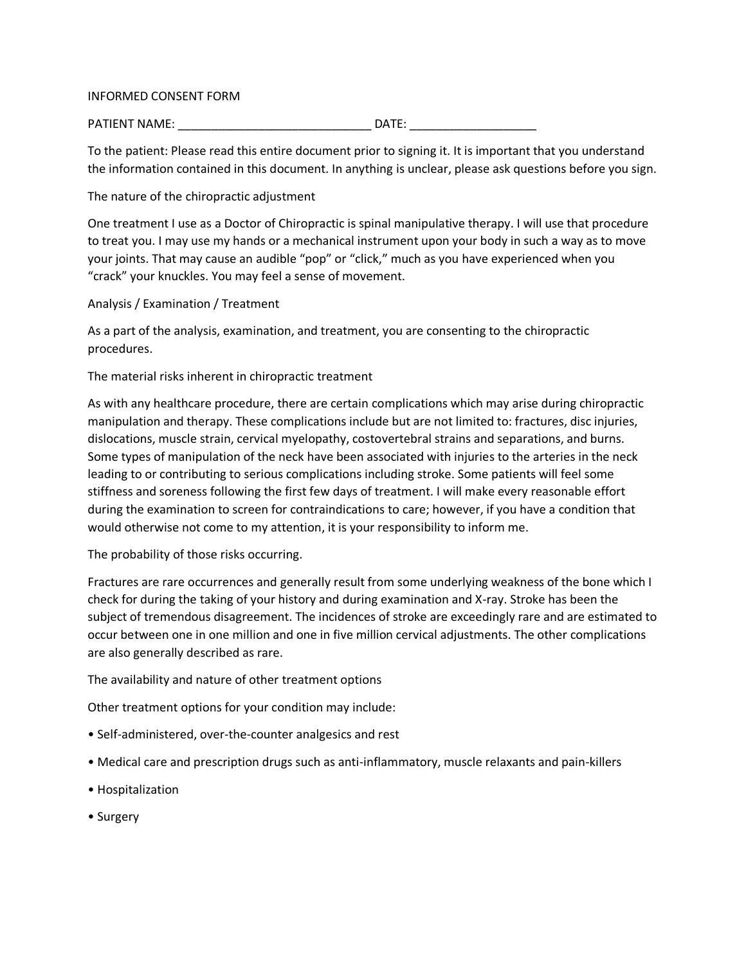#### INFORMED CONSENT FORM

PATIENT NAME: \_\_\_\_\_\_\_\_\_\_\_\_\_\_\_\_\_\_\_\_\_\_\_\_\_\_\_\_\_ DATE: \_\_\_\_\_\_\_\_\_\_\_\_\_\_\_\_\_\_\_

To the patient: Please read this entire document prior to signing it. It is important that you understand the information contained in this document. In anything is unclear, please ask questions before you sign.

The nature of the chiropractic adjustment

One treatment I use as a Doctor of Chiropractic is spinal manipulative therapy. I will use that procedure to treat you. I may use my hands or a mechanical instrument upon your body in such a way as to move your joints. That may cause an audible "pop" or "click," much as you have experienced when you "crack" your knuckles. You may feel a sense of movement.

Analysis / Examination / Treatment

As a part of the analysis, examination, and treatment, you are consenting to the chiropractic procedures.

The material risks inherent in chiropractic treatment

As with any healthcare procedure, there are certain complications which may arise during chiropractic manipulation and therapy. These complications include but are not limited to: fractures, disc injuries, dislocations, muscle strain, cervical myelopathy, costovertebral strains and separations, and burns. Some types of manipulation of the neck have been associated with injuries to the arteries in the neck leading to or contributing to serious complications including stroke. Some patients will feel some stiffness and soreness following the first few days of treatment. I will make every reasonable effort during the examination to screen for contraindications to care; however, if you have a condition that would otherwise not come to my attention, it is your responsibility to inform me.

The probability of those risks occurring.

Fractures are rare occurrences and generally result from some underlying weakness of the bone which I check for during the taking of your history and during examination and X-ray. Stroke has been the subject of tremendous disagreement. The incidences of stroke are exceedingly rare and are estimated to occur between one in one million and one in five million cervical adjustments. The other complications are also generally described as rare.

The availability and nature of other treatment options

Other treatment options for your condition may include:

- Self-administered, over-the-counter analgesics and rest
- Medical care and prescription drugs such as anti-inflammatory, muscle relaxants and pain-killers
- Hospitalization
- Surgery